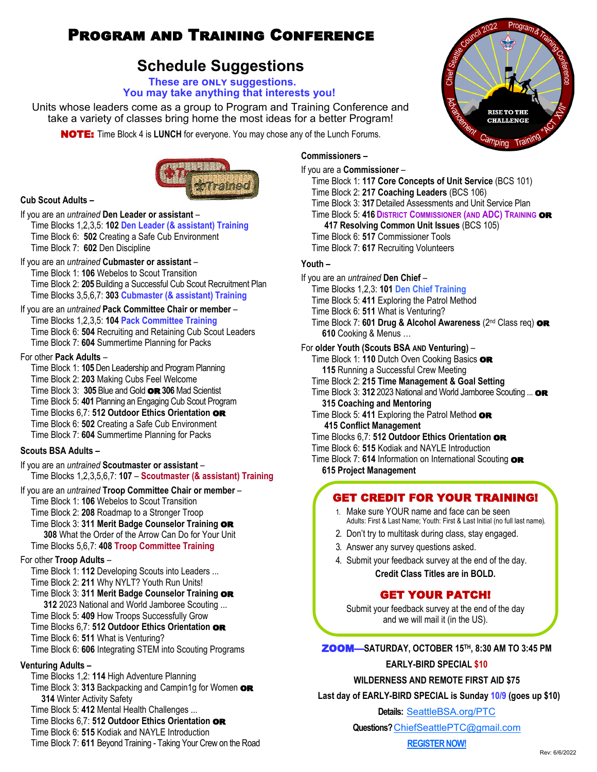# Program and Training Conference

# **Schedule Suggestions**

#### **These are only suggestions. You may take anything that interests you!**

Units whose leaders come as a group to Program and Training Conference and take a variety of classes bring home the most ideas for a better Program!

NOTE: Time Block 4 is **LUNCH** for everyone. You may chose any of the Lunch Forums.



## **Cub Scout Adults –**

If you are an *untrained* **Den Leader or assistant** – Time Blocks 1,2,3,5: **102 Den Leader (& assistant) Training** Time Block 6: **502** Creating a Safe Cub Environment Time Block 7: **602** Den Discipline

## If you are an *untrained* **Cubmaster or assistant** –

Time Block 1: **106** Webelos to Scout Transition Time Block 2: **205** Building a Successful Cub Scout Recruitment Plan Time Blocks 3,5,6,7: **303 Cubmaster (& assistant) Training**

If you are an *untrained* **Pack Committee Chair or member** – Time Blocks 1,2,3,5: **104 Pack Committee Training** Time Block 6: **504** Recruiting and Retaining Cub Scout Leaders Time Block 7: **604** Summertime Planning for Packs

#### For other **Pack Adults** –

Time Block 1: **105** Den Leadership and Program Planning Time Block 2: **203** Making Cubs Feel Welcome Time Block 3: **305** Blue and Gold or**306** Mad Scientist Time Block 5: **401** Planning an Engaging Cub Scout Program Time Blocks 6,7: **512 Outdoor Ethics Orientation** or Time Block 6: **502** Creating a Safe Cub Environment Time Block 7: **604** Summertime Planning for Packs

#### **Scouts BSA Adults –**

If you are an *untrained* **Scoutmaster or assistant** – Time Blocks 1,2,3,5,6,7: **107** – **Scoutmaster (& assistant) Training**

#### If you are an *untrained* **Troop Committee Chair or member** –

Time Block 1: **106** Webelos to Scout Transition Time Block 2: **208** Roadmap to a Stronger Troop Time Block 3: **311 Merit Badge Counselor Training** or **308** What the Order of the Arrow Can Do for Your Unit

Time Blocks 5,6,7: **408 Troop Committee Training**

#### For other **Troop Adults** –

Time Block 1: **112** Developing Scouts into Leaders ... Time Block 2: **211** Why NYLT? Youth Run Units!

Time Block 3: **311 Merit Badge Counselor Training** or

**312** 2023 National and World Jamboree Scouting ...

Time Block 5: **409** How Troops Successfully Grow Time Blocks 6,7: **512 Outdoor Ethics Orientation** or

Time Block 6: **511** What is Venturing?

Time Block 6: **606** Integrating STEM into Scouting Programs

## **Venturing Adults –**

Time Blocks 1,2: **114** High Adventure Planning

Time Block 3: 313 Backpacking and Campin1g for Women **OR 314** Winter Activity Safety

Time Block 5: **412** Mental Health Challenges ...

Time Blocks 6,7: **512 Outdoor Ethics Orientation** or

Time Block 6: **515** Kodiak and NAYLE Introduction

Time Block 7: **611** Beyond Training - Taking Your Crew on the Road

# **Commissioners –**

If you are a **Commissioner** – Time Block 1: **117 Core Concepts of Unit Service** (BCS 101) Time Block 2: **217 Coaching Leaders** (BCS 106) Time Block 3: **317** Detailed Assessments and Unit Service Plan Time Block 5: **416 DISTRICT COMMISSIONER (AND ADC) TRAINING** or **417 Resolving Common Unit Issues** (BCS 105) Time Block 6: **517** Commissioner Tools Time Block 7: **617** Recruiting Volunteers

#### **Youth –**

If you are an *untrained* **Den Chief** – Time Blocks 1,2,3: **101 Den Chief Training** Time Block 5: **411** Exploring the Patrol Method Time Block 6: **511** What is Venturing? Time Block 7: **601 Drug & Alcohol Awareness** (2<sup>nd</sup> Class req) **OR 610** Cooking & Menus … For **older Youth (Scouts BSA AND Venturing)** – Time Block 1: **110** Dutch Oven Cooking Basics or **115** Running a Successful Crew Meeting Time Block 2: **215 Time Management & Goal Setting** Time Block 3: 312 2023 National and World Jamboree Scouting ... **OR 315 Coaching and Mentoring** Time Block 5: 411 Exploring the Patrol Method **OR 415 Conflict Management** Time Blocks 6,7: **512 Outdoor Ethics Orientation** or Time Block 6: **515** Kodiak and NAYLE Introduction Time Block 7: 614 Information on International Scouting **OR 615 Project Management**

# GET CREDIT FOR YOUR TRAINING!

- 1. Make sure YOUR name and face can be seen Adults: First & Last Name; Youth: First & Last Initial (no full last name).
- 2. Don't try to multitask during class, stay engaged.
- 3. Answer any survey questions asked.
- 4. Submit your feedback survey at the end of the day. **Credit Class Titles are in BOLD.**

## GET YOUR PATCH!

Submit your feedback survey at the end of the day and we will mail it (in the US).

ZOOM—**SATURDAY, OCTOBER 15TH, 8:30 AM TO 3:45 PM**

#### **EARLY-BIRD SPECIAL \$10**

**WILDERNESS AND REMOTE FIRST AID \$75**

 **Last day of EARLY-BIRD SPECIAL is Sunday 10/9 (goes up \$10)**

**Details:** <SeattleBSA.org/PTC>

**Questions?** [ChiefSeattlePTC@gmail.com](mailto:chiefseattleptc@gmail.com)

**[REGISTER NOW!](https://seattlebsa.tentaroo.com/admin2/events/5771/24888/Program-and-Training-Conference-2022/registration)**